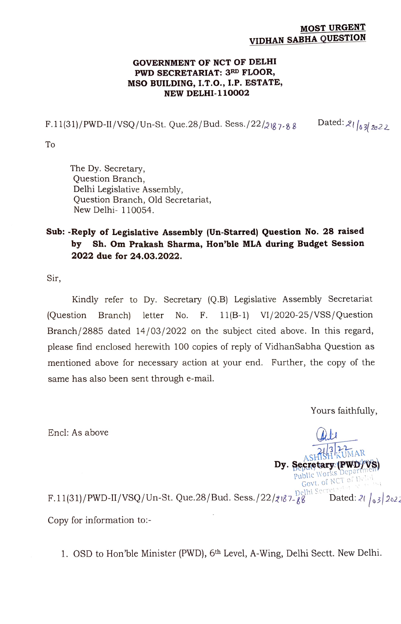## MOST URGENT VIDHAN SABHA QUESTION

## GOVERNMENT OF NCT OF DELHI PWD SECRETARIAT: 3RD FLOOR, MSO BUILDING, I.T.O., I.P. ESTATE, NEW DELHI-110002

F.11(31)/PWD-II/VSQ/Un-St. Que.28/Bud. Sess./22/2187-88 Dated: 21/63/2022

To

The Dy. Secretary, Question Branch, Delhi Legislative Assembly, Question Branch, Old Secretariat, New Delhi- 110054.

## Sub:-Reply of Legislative Assembly (Un-Starred) Question No. 28 raised by Sh. Om Prakash Sharma, Hon'ble MLA during Budget Session 2022 due for 24.03.2022.

Sir,

Kindly refer to Dy. Secretary (Q.B) Legislative Assembly Secretariat (Question Branch) letter No. F. 11(B-1) VI/2020-25/VSS/Question Branch/2885 dated 14/03/2022 on the subject cited above. In this regard, please find enclosed herewith 100 copies of reply of VidhanSabha Question as mentioned above for necessary action at your end. Further, the copy of the same has also been sent through e-mail.

Yours faithfully,

Encl: As above

SHISH KUMAR Dy. Secretary (PWD) Govt. of NCT of Del<br>Jelhi Secretarist

F.11(31)/PWD-II/VSQ/Un-St. Que.28/Bud. Sess./22/2187-28 Dated:  $21\frac{1}{9}2\frac{2}{2}$ Copy for information to:-

1. OSD to Hon'ble Minister (PWD), 6th Level, A-Wing, Delhi Sectt. New Delhi.